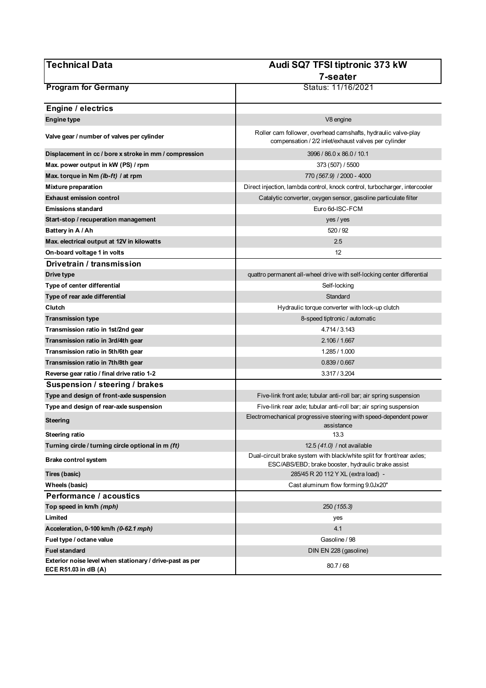| <b>Technical Data</b>                                                            | Audi SQ7 TFSI tiptronic 373 kW                                                                                               |
|----------------------------------------------------------------------------------|------------------------------------------------------------------------------------------------------------------------------|
|                                                                                  | 7-seater                                                                                                                     |
| <b>Program for Germany</b>                                                       | Status: 11/16/2021                                                                                                           |
|                                                                                  |                                                                                                                              |
| Engine / electrics                                                               |                                                                                                                              |
| <b>Engine type</b>                                                               | V8 engine                                                                                                                    |
| Valve gear / number of valves per cylinder                                       | Roller cam follower, overhead camshafts, hydraulic valve-play<br>compensation / 2/2 inlet/exhaust valves per cylinder        |
| Displacement in cc / bore x stroke in mm / compression                           | 3996 / 86.0 x 86.0 / 10.1                                                                                                    |
| Max. power output in kW (PS) / rpm                                               | 373 (507) / 5500                                                                                                             |
| Max. torque in Nm (lb-ft) / at rpm                                               | 770 (567.9) / 2000 - 4000                                                                                                    |
| <b>Mixture preparation</b>                                                       | Direct injection, lambda control, knock control, turbocharger, intercooler                                                   |
| <b>Exhaust emission control</b>                                                  | Catalytic converter, oxygen sensor, gasoline particulate filter                                                              |
| <b>Emissions standard</b>                                                        | Euro 6d-ISC-FCM                                                                                                              |
| Start-stop / recuperation management                                             | yes / yes                                                                                                                    |
| Battery in A / Ah                                                                | 520 / 92                                                                                                                     |
| Max. electrical output at 12V in kilowatts                                       | 2.5                                                                                                                          |
| On-board voltage 1 in volts                                                      | 12                                                                                                                           |
| Drivetrain / transmission                                                        |                                                                                                                              |
| Drive type                                                                       | quattro permanent all-wheel drive with self-locking center differential                                                      |
| Type of center differential                                                      | Self-locking                                                                                                                 |
| Type of rear axle differential                                                   | Standard                                                                                                                     |
| Clutch                                                                           | Hydraulic torque converter with lock-up clutch                                                                               |
| <b>Transmission type</b>                                                         | 8-speed tiptronic / automatic                                                                                                |
| Transmission ratio in 1st/2nd gear                                               | 4.714 / 3.143                                                                                                                |
| Transmission ratio in 3rd/4th gear                                               | 2.106 / 1.667                                                                                                                |
| Transmission ratio in 5th/6th gear                                               | 1.285 / 1.000                                                                                                                |
| Transmission ratio in 7th/8th gear                                               | 0.839/0.667                                                                                                                  |
| Reverse gear ratio / final drive ratio 1-2                                       | 3.317 / 3.204                                                                                                                |
| Suspension / steering / brakes                                                   |                                                                                                                              |
| Type and design of front-axle suspension                                         | Five-link front axle; tubular anti-roll bar; air spring suspension                                                           |
| Type and design of rear-axle suspension                                          | Five-link rear axle; tubular anti-roll bar; air spring suspension                                                            |
| Steering                                                                         | Electromechanical progressive steering with speed-dependent power<br>assistance                                              |
| Steering ratio                                                                   | 13.3                                                                                                                         |
| Turning circle / turning circle optional in m (ft)                               | 12.5 (41.0) / not available                                                                                                  |
| Brake control system                                                             | Dual-circuit brake system with black/white split for front/rear axles;<br>ESC/ABS/EBD; brake booster, hydraulic brake assist |
| Tires (basic)                                                                    | 285/45 R 20 112 Y XL (extra load) -                                                                                          |
| Wheels (basic)                                                                   | Cast aluminum flow forming 9.0Jx20"                                                                                          |
| <b>Performance / acoustics</b>                                                   |                                                                                                                              |
| Top speed in km/h (mph)                                                          | 250 (155.3)                                                                                                                  |
| Limited                                                                          | yes                                                                                                                          |
| Acceleration, 0-100 km/h (0-62.1 mph)                                            | 4.1                                                                                                                          |
| Fuel type / octane value                                                         | Gasoline / 98                                                                                                                |
| <b>Fuel standard</b>                                                             | DIN EN 228 (gasoline)                                                                                                        |
| Exterior noise level when stationary / drive-past as per<br>ECE R51.03 in dB (A) | 80.7/68                                                                                                                      |